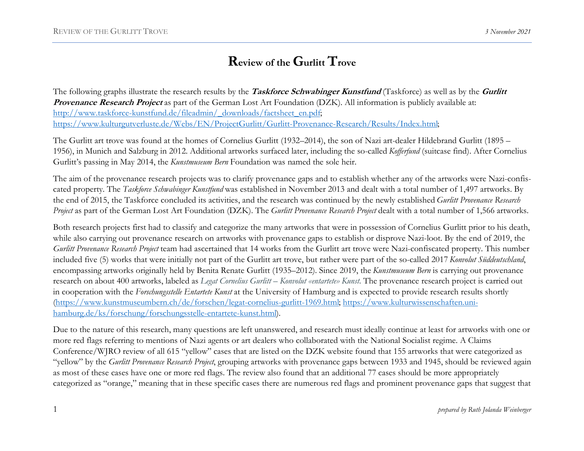# Review of the Gurlitt Trove

The following graphs illustrate the research results by the **Taskforce Schwabinger Kunstfund** (Taskforce) as well as by the **Gurlitt** Provenance Research Project as part of the German Lost Art Foundation (DZK). All information is publicly available at: http://www.taskforce-kunstfund.de/fileadmin/\_downloads/factsheet\_en.pdf; https://www.kulturgutverluste.de/Webs/EN/ProjectGurlitt/Gurlitt-Provenance-Research/Results/Index.html;

The Gurlitt art trove was found at the homes of Cornelius Gurlitt (1932–2014), the son of Nazi art-dealer Hildebrand Gurlitt (1895 – 1956), in Munich and Salzburg in 2012. Additional artworks surfaced later, including the so-called Kofferfund (suitcase find). After Cornelius Gurlitt's passing in May 2014, the *Kunstmuseum Bern* Foundation was named the sole heir.

The aim of the provenance research projects was to clarify provenance gaps and to establish whether any of the artworks were Nazi-confiscated property. The Taskforce Schwabinger Kunstfund was established in November 2013 and dealt with a total number of 1,497 artworks. By the end of 2015, the Taskforce concluded its activities, and the research was continued by the newly established Gurlitt Provenance Research Project as part of the German Lost Art Foundation (DZK). The Gurlitt Provenance Research Project dealt with a total number of 1,566 artworks.

Both research projects first had to classify and categorize the many artworks that were in possession of Cornelius Gurlitt prior to his death, while also carrying out provenance research on artworks with provenance gaps to establish or disprove Nazi-loot. By the end of 2019, the Gurlitt Provenance Research Project team had ascertained that 14 works from the Gurlitt art trove were Nazi-confiscated property. This number included five (5) works that were initially not part of the Gurlitt art trove, but rather were part of the so-called 2017 Konvolut Süddeutschland, encompassing artworks originally held by Benita Renate Gurlitt (1935–2012). Since 2019, the Kunstmuseum Bern is carrying out provenance research on about 400 artworks, labeled as Legat Cornelius Gurlitt – Konvolut «entartete» Kunst. The provenance research project is carried out in cooperation with the Forschungsstelle Entartete Kunst at the University of Hamburg and is expected to provide research results shortly (https://www.kunstmuseumbern.ch/de/forschen/legat-cornelius-gurlitt-1969.html; https://www.kulturwissenschaften.unihamburg.de/ks/forschung/forschungsstelle-entartete-kunst.html).

Due to the nature of this research, many questions are left unanswered, and research must ideally continue at least for artworks with one or more red flags referring to mentions of Nazi agents or art dealers who collaborated with the National Socialist regime. A Claims Conference/WJRO review of all 615 "yellow" cases that are listed on the DZK website found that 155 artworks that were categorized as "yellow" by the Gurlitt Provenance Research Project, grouping artworks with provenance gaps between 1933 and 1945, should be reviewed again as most of these cases have one or more red flags. The review also found that an additional 77 cases should be more appropriately categorized as "orange," meaning that in these specific cases there are numerous red flags and prominent provenance gaps that suggest that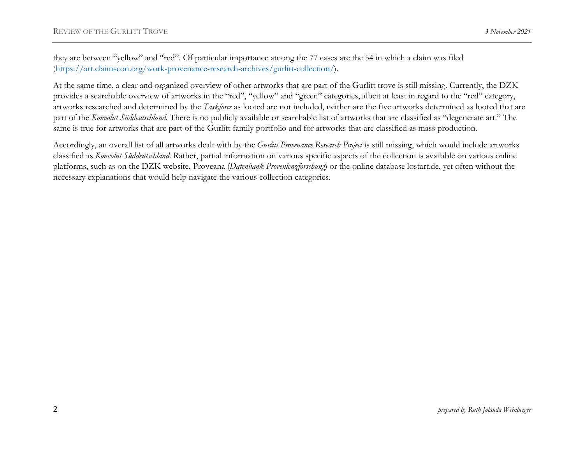they are between "yellow" and "red". Of particular importance among the 77 cases are the 54 in which a claim was filed (https://art.claimscon.org/work-provenance-research-archives/gurlitt-collection/).

At the same time, a clear and organized overview of other artworks that are part of the Gurlitt trove is still missing. Currently, the DZK provides a searchable overview of artworks in the "red", "yellow" and "green" categories, albeit at least in regard to the "red" category, artworks researched and determined by the Taskforce as looted are not included, neither are the five artworks determined as looted that are part of the Konvolut Süddeutschland. There is no publicly available or searchable list of artworks that are classified as "degenerate art." The same is true for artworks that are part of the Gurlitt family portfolio and for artworks that are classified as mass production.

Accordingly, an overall list of all artworks dealt with by the Gurlitt Provenance Research Project is still missing, which would include artworks classified as Konvolut Süddeutschland. Rather, partial information on various specific aspects of the collection is available on various online platforms, such as on the DZK website, Proveana (Datenbank Provenienzforschung) or the online database lostart.de, yet often without the necessary explanations that would help navigate the various collection categories.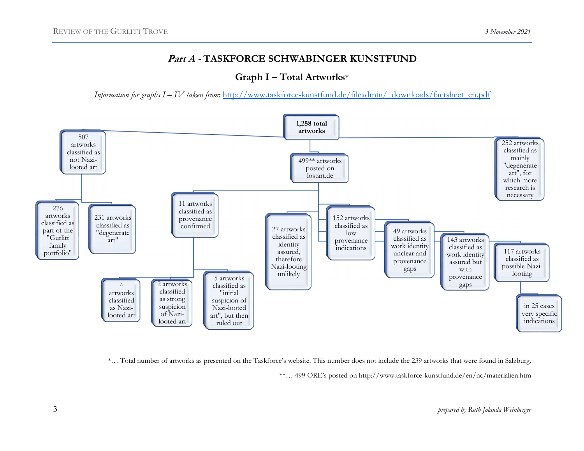### Part A - TASKFORCE SCHWABINGER KUNSTFUND

### Graph I – Total Artworks\*

Information for graphs I – IV taken from: http://www.taskforce-kunstfund.de/fileadmin/\_downloads/factsheet\_en.pdf



\*… Total number of artworks as presented on the Taskforce's website. This number does not include the 239 artworks that were found in Salzburg.

\*\*… 499 ORE's posted on http://www.taskforce-kunstfund.de/en/nc/materialien.htm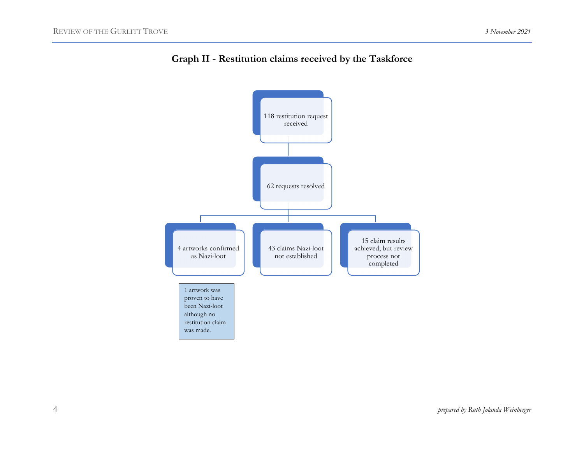

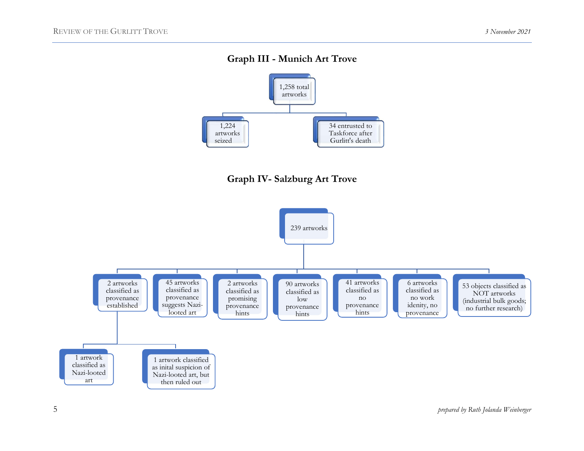## Graph III - Munich Art Trove





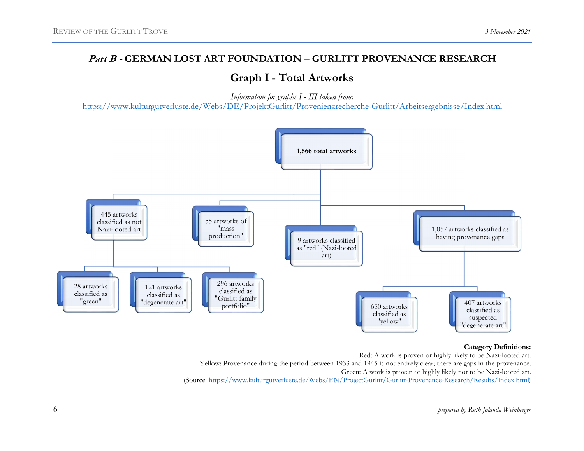# Graph I - Total Artworks

Information for graphs I - III taken from:

https://www.kulturgutverluste.de/Webs/DE/ProjektGurlitt/Provenienzrecherche-Gurlitt/Arbeitsergebnisse/Index.html



#### Category Definitions:

Red: A work is proven or highly likely to be Nazi-looted art. Yellow: Provenance during the period between 1933 and 1945 is not entirely clear; there are gaps in the provenance. Green: A work is proven or highly likely not to be Nazi-looted art. (Source: https://www.kulturgutverluste.de/Webs/EN/ProjectGurlitt/Gurlitt-Provenance-Research/Results/Index.html)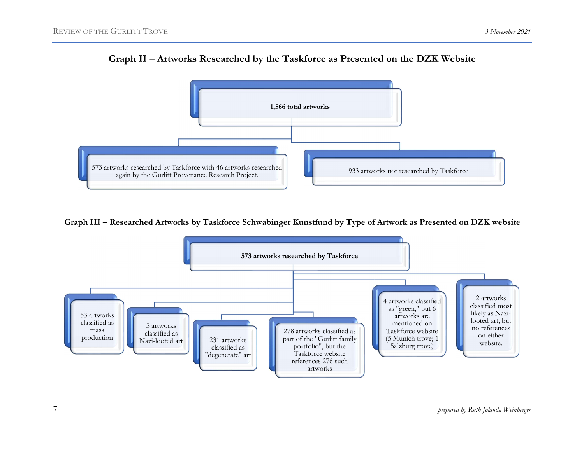

Graph II – Artworks Researched by the Taskforce as Presented on the DZK Website

Graph III – Researched Artworks by Taskforce Schwabinger Kunstfund by Type of Artwork as Presented on DZK website